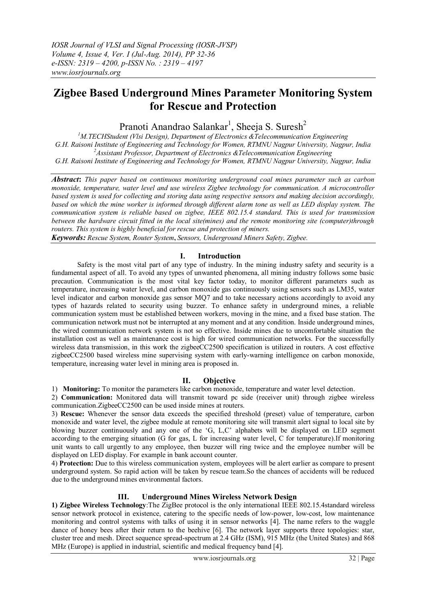# **Zigbee Based Underground Mines Parameter Monitoring System for Rescue and Protection**

Pranoti Anandrao Salankar<sup>1</sup>, Sheeja S. Suresh<sup>2</sup>

*<sup>1</sup>M.TECHStudent (Vlsi Design), Department of Electronics &Telecommunication Engineering G.H. Raisoni Institute of Engineering and Technology for Women, RTMNU Nagpur University, Nagpur, India <sup>2</sup>Assistant Professor, Department of Electronics &Telecommunication Engineering G.H. Raisoni Institute of Engineering and Technology for Women, RTMNU Nagpur University, Nagpur, India*

*Abstract***:** *This paper based on continuous monitoring underground coal mines parameter such as carbon monoxide, temperature, water level and use wireless Zigbee technology for communication. A microcontroller based system is used for collecting and storing data using respective sensors and making decision accordingly, based on which the mine worker is informed through different alarm tone as well as LED display system. The communication system is reliable based on zigbee, IEEE 802.15.4 standard. This is used for transmission between the hardware circuit fitted in the local site(mines) and the remote monitoring site (computer)through routers. This system is highly beneficial for rescue and protection of miners.*

*Keywords: Rescue System, Router System***,** *Sensors, Underground Miners Safety, Zigbee.*

# **I. Introduction**

Safety is the most vital part of any type of industry. In the mining industry safety and security is a fundamental aspect of all. To avoid any types of unwanted phenomena, all mining industry follows some basic precaution. Communication is the most vital key factor today, to monitor different parameters such as temperature, increasing water level, and carbon monoxide gas continuously using sensors such as LM35, water level indicator and carbon monoxide gas sensor MQ7 and to take necessary actions accordingly to avoid any types of hazards related to security using buzzer. To enhance safety in underground mines, a reliable communication system must be established between workers, moving in the mine, and a fixed base station. The communication network must not be interrupted at any moment and at any condition. Inside underground mines, the wired communication network system is not so effective. Inside mines due to uncomfortable situation the installation cost as well as maintenance cost is high for wired communication networks. For the successfully wireless data transmission, in this work the zigbeeCC2500 specification is utilized in routers. A cost effective zigbeeCC2500 based wireless mine supervising system with early-warning intelligence on carbon monoxide, temperature, increasing water level in mining area is proposed in.

# **II. Objective**

1) **Monitoring:** To monitor the parameters like carbon monoxide, temperature and water level detection.

2) **Communication:** Monitored data will transmit toward pc side (receiver unit) through zigbee wireless communication.ZigbeeCC2500 can be used inside mines at routers.

3) **Rescue:** Whenever the sensor data exceeds the specified threshold (preset) value of temperature, carbon monoxide and water level, the zigbee module at remote monitoring site will transmit alert signal to local site by blowing buzzer continuously and any one of the "G, L,C" alphabets will be displayed on LED segment according to the emerging situation (G for gas, L for increasing water level, C for temperature).If monitoring unit wants to call urgently to any employee, then buzzer will ring twice and the employee number will be displayed on LED display. For example in bank account counter.

4) **Protection:** Due to this wireless communication system, employees will be alert earlier as compare to present underground system. So rapid action will be taken by rescue team.So the chances of accidents will be reduced due to the underground mines environmental factors.

# **III. Underground Mines Wireless Network Design**

**1) Zigbee Wireless Technology**:The ZigBee protocol is the only international IEEE 802.15.4standard wireless sensor network protocol in existence, catering to the specific needs of low-power, low-cost, low maintenance monitoring and control systems with talks of using it in sensor networks [4]. The name refers to the waggle dance of honey bees after their return to the beehive [6]. The network layer supports three topologies: star, cluster tree and mesh. Direct sequence spread-spectrum at 2.4 GHz (ISM), 915 MHz (the United States) and 868 MHz (Europe) is applied in industrial, scientific and medical frequency band [4].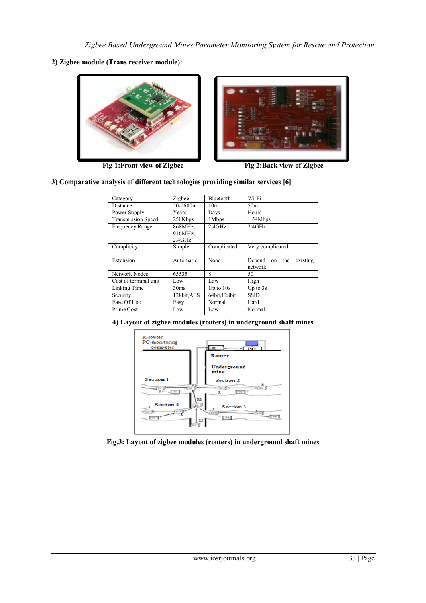**2) Zigbee module (Trans receiver module):**



Fig 1:Front view of Zigbee Fig 2:Back view of Zigbee



#### **3) Comparative analysis of different technologies providing similar services [6]**

| Category                  | Zigbee                          | Bluetooth       | Wi-Fi                                   |
|---------------------------|---------------------------------|-----------------|-----------------------------------------|
| Distance                  | 50-1600m                        | 10 <sub>m</sub> | 50 <sub>m</sub>                         |
| Power Supply              | Years                           | Days            | Hours                                   |
| <b>Transmission Speed</b> | 250Kbps                         | 1Mbps           | 1.54Mbps                                |
| Frequency Range           | 868MHz,<br>916MHz,<br>$2.4$ GHz | 2.4GHz          | 2.4GHz                                  |
| Complicity                | Simple                          | Complicated     | Very complicated                        |
| Extension                 | Automatic                       | None            | existing<br>on the<br>Depend<br>network |
| Network Nodes             | 65535                           | 8               | 50                                      |
| Cost of terminal unit     | Low                             | Low             | High                                    |
| Linking Time              | 30 <sub>ms</sub>                | Up to $10s$     | Up to $3s$                              |
| Security                  | 128bit, AES                     | 64bit, 128bit   | <b>SSID</b>                             |
| Ease Of Use               | Easy                            | Normal          | Hard                                    |
| Prime Cost                | Low                             | Low             | Normal                                  |

**4) Layout of zigbee modules (routers) in underground shaft mines**



**Fig.3: Layout of zigbee modules (routers) in underground shaft mines**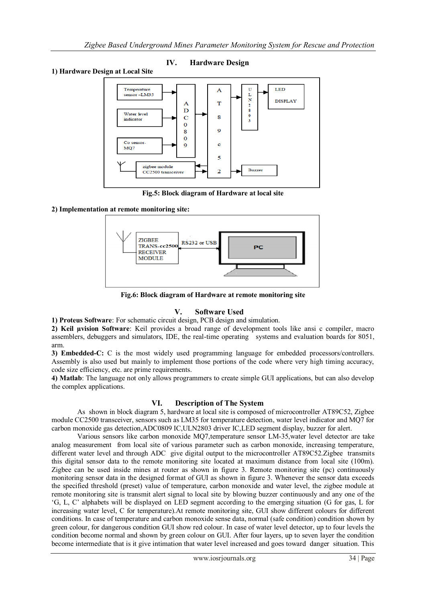### **IV. Hardware Design**

#### **1) Hardware Design at Local Site**



**Fig.5: Block diagram of Hardware at local site**

#### **2) Implementation at remote monitoring site:**



**Fig.6: Block diagram of Hardware at remote monitoring site**

#### **V. Software Used**

**1) Proteus Software**: For schematic circuit design, PCB design and simulation.

**2) Keil µvision Software**: Keil provides a broad range of development tools like ansi c compiler, macro assemblers, debuggers and simulators, IDE, the real-time operating systems and evaluation boards for 8051, arm.

**3) Embedded-C:** C is the most widely used programming language for embedded processors/controllers. Assembly is also used but mainly to implement those portions of the code where very high timing accuracy, code size efficiency, etc. are prime requirements.

**4) Matlab**: The language not only allows programmers to create simple GUI applications, but can also develop the complex applications.

# **VI. Description of The System**

As shown in block diagram 5, hardware at local site is composed of microcontroller AT89C52, Zigbee module CC2500 transceiver, sensors such as LM35 for temperature detection, water level indicator and MQ7 for carbon monoxide gas detection,ADC0809 IC,ULN2803 driver IC,LED segment display, buzzer for alert.

Various sensors like carbon monoxide MQ7,temperature sensor LM-35,water level detector are take analog measurement from local site of various parameter such as carbon monoxide, increasing temperature, different water level and through ADC give digital output to the microcontroller AT89C52.Zigbee transmits this digital sensor data to the remote monitoring site located at maximum distance from local site (100m). Zigbee can be used inside mines at router as shown in figure 3. Remote monitoring site (pc) continuously monitoring sensor data in the designed format of GUI as shown in figure 3. Whenever the sensor data exceeds the specified threshold (preset) value of temperature, carbon monoxide and water level, the zigbee module at remote monitoring site is transmit alert signal to local site by blowing buzzer continuously and any one of the "G, L, C" alphabets will be displayed on LED segment according to the emerging situation (G for gas, L for increasing water level, C for temperature).At remote monitoring site, GUI show different colours for different conditions. In case of temperature and carbon monoxide sense data, normal (safe condition) condition shown by green colour, for dangerous condition GUI show red colour. In case of water level detector, up to four levels the condition become normal and shown by green colour on GUI. After four layers, up to seven layer the condition become intermediate that is it give intimation that water level increased and goes toward danger situation. This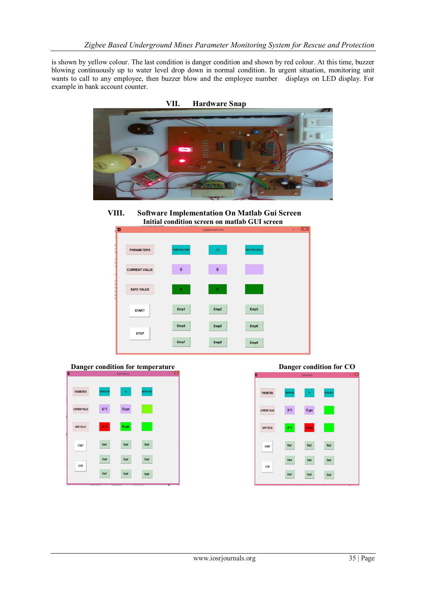is shown by yellow colour. The last condition is danger condition and shown by red colour. At this time, buzzer blowing continuously up to water level drop down in normal condition. In urgent situation, monitoring unit wants to call to any employee, then buzzer blow and the employee number displays on LED display. For example in bank account counter.



**VIII. Software Implementation On Matlab Gui Screen Initial condition screen on matlab GUI screen**





PARAMETER: 36 °C 13 ppm **CURRENT VALL** SAFE VALUE **START STOP** Emp9 Empl